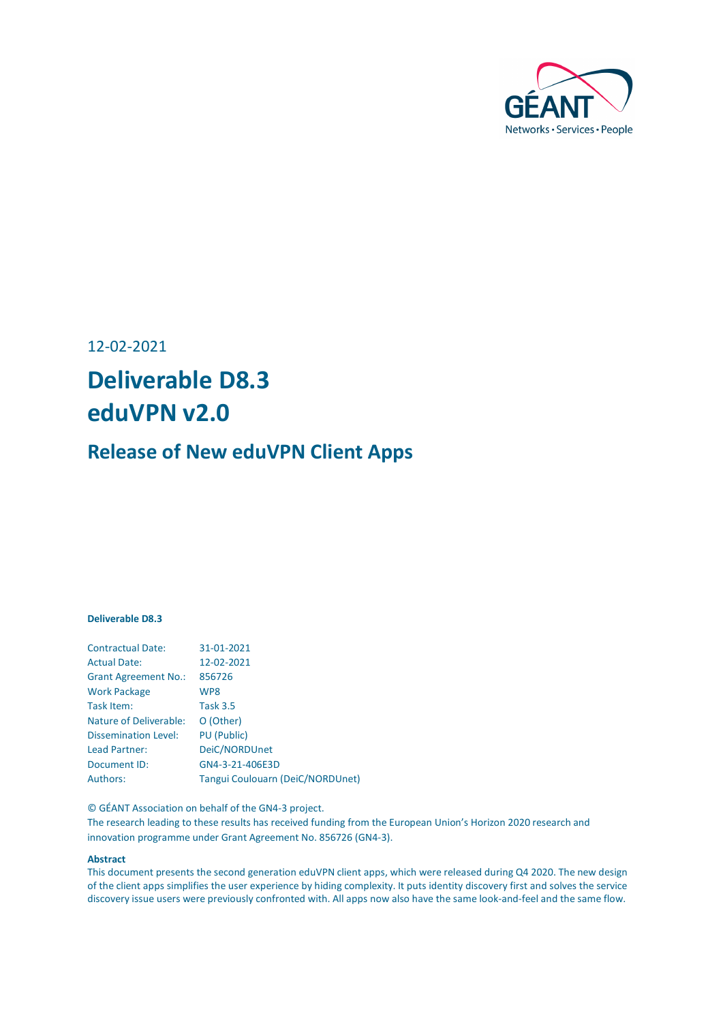

12-02-2021

## **Deliverable D8.3 eduVPN v2.0**

### **Release of New eduVPN Client Apps**

#### **Deliverable D8.3**

| <b>Contractual Date:</b>    | 31-01-2021                              |
|-----------------------------|-----------------------------------------|
| <b>Actual Date:</b>         | 12-02-2021                              |
| <b>Grant Agreement No.:</b> | 856726                                  |
| <b>Work Package</b>         | WP8                                     |
| Task Item:                  | <b>Task 3.5</b>                         |
| Nature of Deliverable:      | O (Other)                               |
| <b>Dissemination Level:</b> | <b>PU (Public)</b>                      |
| Lead Partner:               | DeiC/NORDUnet                           |
| Document ID:                | GN4-3-21-406E3D                         |
| Authors:                    | <b>Tangui Coulouarn (DeiC/NORDUnet)</b> |
|                             |                                         |

© GÉANT Association on behalf of the GN4-3 project.

The research leading to these results has received funding from the European Union's Horizon 2020 research and innovation programme under Grant Agreement No. 856726 (GN4-3).

#### **Abstract**

This document presents the second generation eduVPN client apps, which were released during Q4 2020. The new design of the client apps simplifies the user experience by hiding complexity. It puts identity discovery first and solves the service discovery issue users were previously confronted with. All apps now also have the same look-and-feel and the same flow.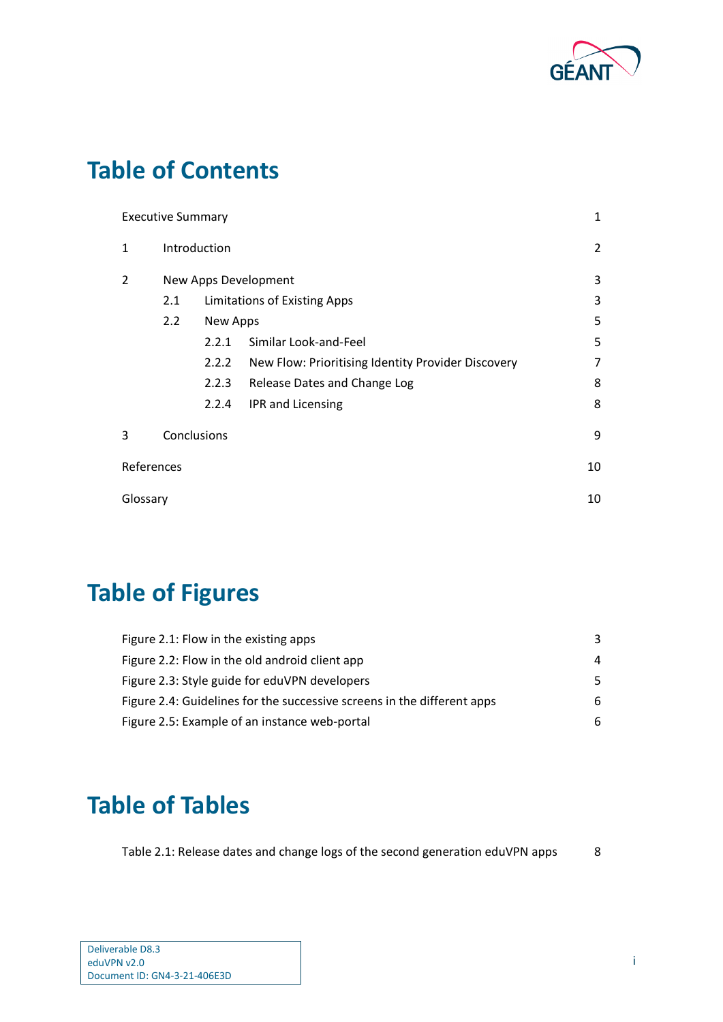

## **Table of Contents**

|                | <b>Executive Summary</b> |          | 1                                                  |                |
|----------------|--------------------------|----------|----------------------------------------------------|----------------|
| 1              | Introduction             |          |                                                    | $\overline{2}$ |
| $\overline{2}$ |                          |          | New Apps Development                               | 3              |
|                | 2.1                      |          | <b>Limitations of Existing Apps</b>                | 3              |
|                | 2.2                      | New Apps |                                                    | 5              |
|                |                          | 2.2.1    | Similar Look-and-Feel                              | 5              |
|                |                          | 2.2.2    | New Flow: Prioritising Identity Provider Discovery | 7              |
|                |                          | 2.2.3    | Release Dates and Change Log                       | 8              |
|                |                          | 2.2.4    | IPR and Licensing                                  | 8              |
| 3              | Conclusions              |          |                                                    | 9              |
| References     |                          |          |                                                    | 10             |
| Glossary       |                          |          |                                                    | 10             |

# **Table of Figures**

| Figure 2.1: Flow in the existing apps                                   | 3  |
|-------------------------------------------------------------------------|----|
| Figure 2.2: Flow in the old android client app                          | 4  |
| Figure 2.3: Style guide for eduVPN developers                           | .5 |
| Figure 2.4: Guidelines for the successive screens in the different apps | 6  |
| Figure 2.5: Example of an instance web-portal                           | 6  |

## **Table of Tables**

[Table 2.1: Release dates and change logs of the second generation eduVPN apps](#page-9-2) 8

| Deliverable D8.3             |  |
|------------------------------|--|
|                              |  |
| eduVPN v2.0                  |  |
|                              |  |
| Document ID: GN4-3-21-406E3D |  |
|                              |  |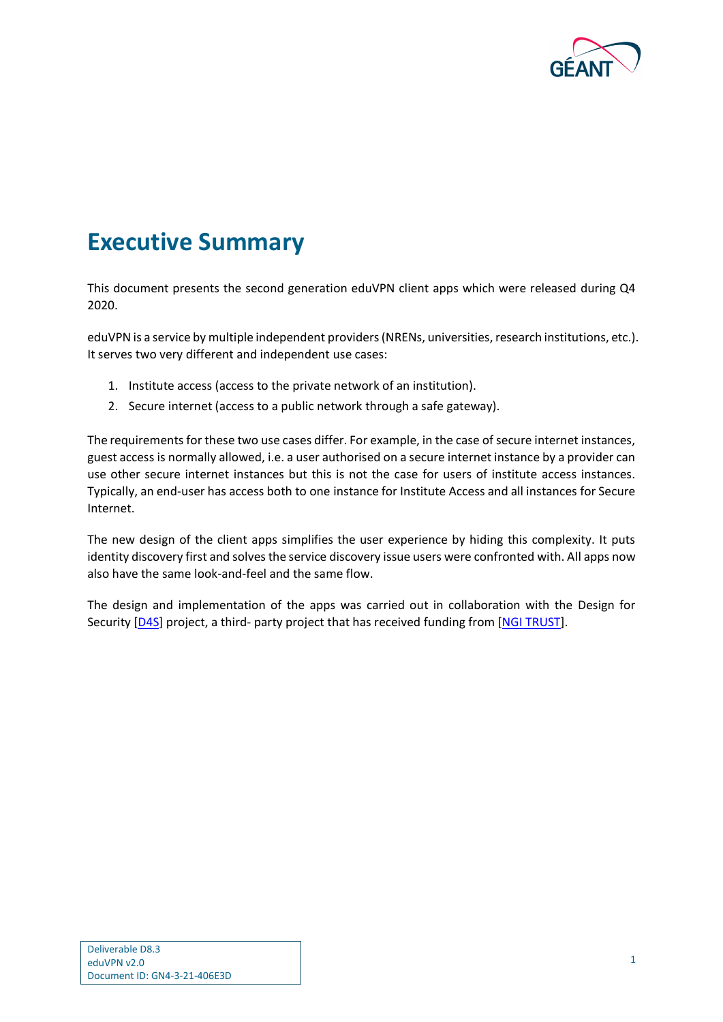

## <span id="page-2-0"></span>**Executive Summary**

This document presents the second generation eduVPN client apps which were released during Q4 2020.

eduVPN is a service by multiple independent providers (NRENs, universities, research institutions, etc.). It serves two very different and independent use cases:

- 1. Institute access (access to the private network of an institution).
- 2. Secure internet (access to a public network through a safe gateway).

The requirements for these two use cases differ. For example, in the case of secure internet instances, guest access is normally allowed, i.e. a user authorised on a secure internet instance by a provider can use other secure internet instances but this is not the case for users of institute access instances. Typically, an end-user has access both to one instance for Institute Access and all instances for Secure Internet.

The new design of the client apps simplifies the user experience by hiding this complexity. It puts identity discovery first and solves the service discovery issue users were confronted with. All apps now also have the same look-and-feel and the same flow.

The design and implementation of the apps was carried out in collaboration with the Design for Security [\[D4S\]](#page-11-2) project, a third- party project that has received funding from [NGI [TRUST\]](#page-11-3).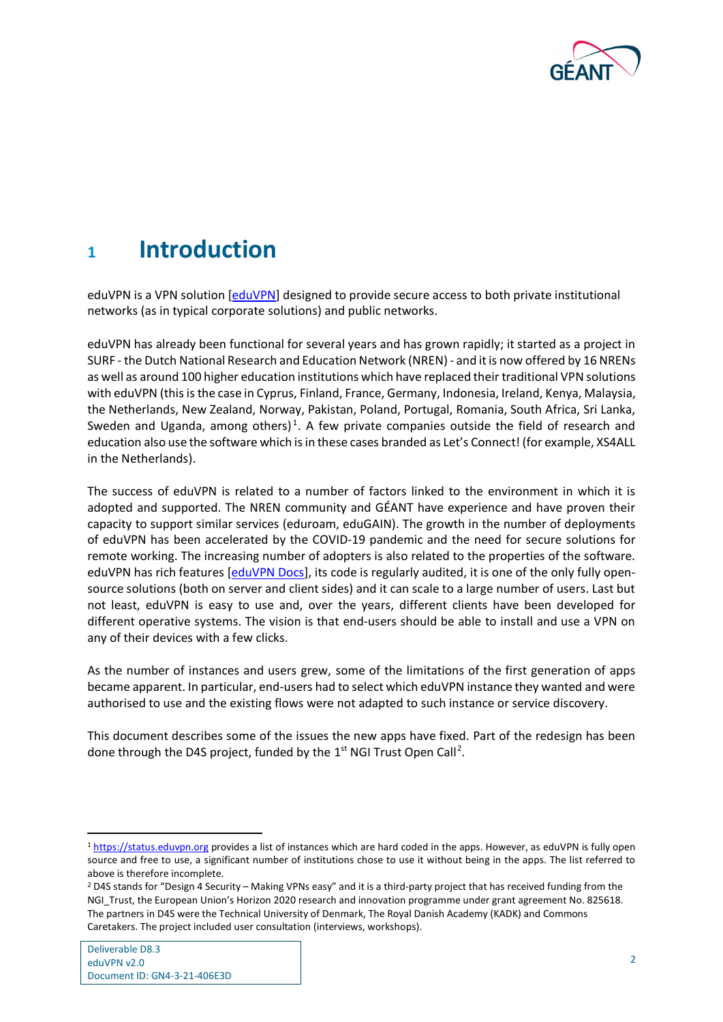

### <span id="page-3-0"></span>**<sup>1</sup> Introduction**

eduVPN is a VPN solution [\[eduVPN\]](#page-11-4) designed to provide secure access to both private institutional networks (as in typical corporate solutions) and public networks.

eduVPN has already been functional for several years and has grown rapidly; it started as a project in SURF - the Dutch National Research and Education Network (NREN) - and it is now offered by 16 NRENs as well as around 100 higher education institutions which have replaced their traditional VPN solutions with eduVPN (this is the case in Cyprus, Finland, France, Germany, Indonesia, Ireland, Kenya, Malaysia, the Netherlands, New Zealand, Norway, Pakistan, Poland, Portugal, Romania, South Africa, Sri Lanka, Sweden and Uganda, among others)<sup>[1](#page-3-1)</sup>. A few private companies outside the field of research and education also use the software which is in these cases branded as Let's Connect! (for example, XS4ALL in the Netherlands).

The success of eduVPN is related to a number of factors linked to the environment in which it is adopted and supported. The NREN community and GÉANT have experience and have proven their capacity to support similar services (eduroam, eduGAIN). The growth in the number of deployments of eduVPN has been accelerated by the COVID-19 pandemic and the need for secure solutions for remote working. The increasing number of adopters is also related to the properties of the software. eduVPN has rich features [\[eduVPN Docs\]](#page-11-5), its code is regularly audited, it is one of the only fully opensource solutions (both on server and client sides) and it can scale to a large number of users. Last but not least, eduVPN is easy to use and, over the years, different clients have been developed for different operative systems. The vision is that end-users should be able to install and use a VPN on any of their devices with a few clicks.

As the number of instances and users grew, some of the limitations of the first generation of apps became apparent. In particular, end-users had to select which eduVPN instance they wanted and were authorised to use and the existing flows were not adapted to such instance or service discovery.

This document describes some of the issues the new apps have fixed. Part of the redesign has been done through the D4S project, funded by the  $1<sup>st</sup>$  NGI Trust Open Call<sup>[2](#page-3-2)</sup>.

<span id="page-3-1"></span><sup>&</sup>lt;sup>1</sup> [https://status.eduvpn.org](https://status.eduvpn.org/) provides a list of instances which are hard coded in the apps. However, as eduVPN is fully open source and free to use, a significant number of institutions chose to use it without being in the apps. The list referred to above is therefore incomplete.

<span id="page-3-2"></span><sup>2</sup> D4S stands for "Design 4 Security – Making VPNs easy" and it is a third-party project that has received funding from the NGI Trust, the European Union's Horizon 2020 research and innovation programme under grant agreement No. 825618. The partners in D4S were the Technical University of Denmark, The Royal Danish Academy (KADK) and Commons Caretakers. The project included user consultation (interviews, workshops).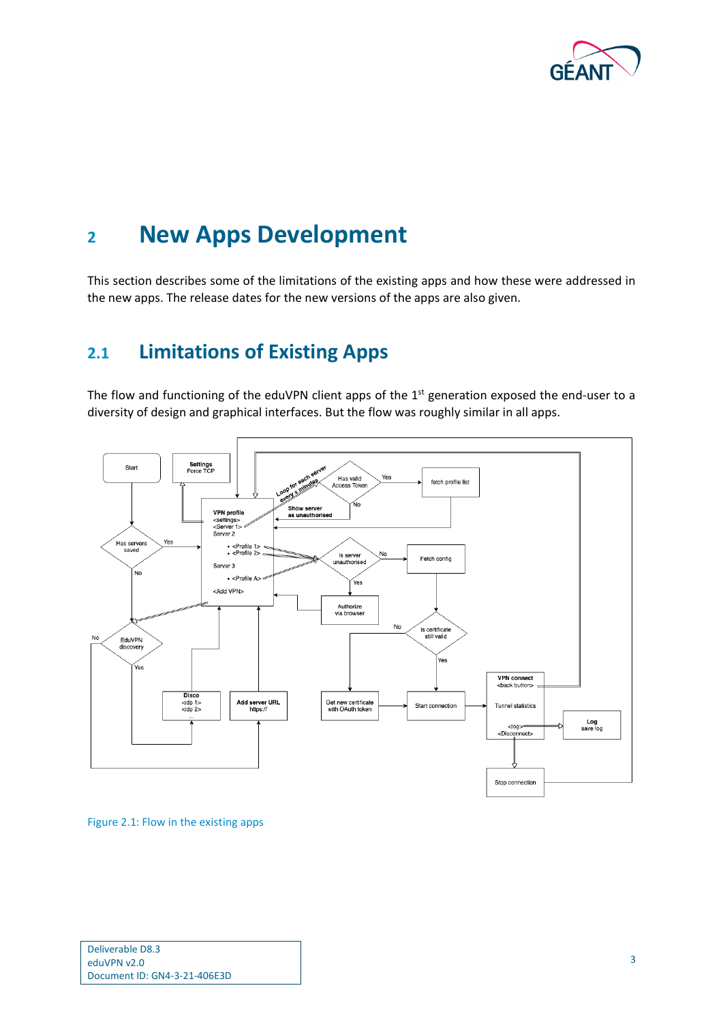

### <span id="page-4-0"></span>**<sup>2</sup> New Apps Development**

This section describes some of the limitations of the existing apps and how these were addressed in the new apps. The release dates for the new versions of the apps are also given.

### <span id="page-4-1"></span>**2.1 Limitations of Existing Apps**

The flow and functioning of the eduVPN client apps of the 1<sup>st</sup> generation exposed the end-user to a diversity of design and graphical interfaces. But the flow was roughly similar in all apps.



<span id="page-4-2"></span>Figure 2.1: Flow in the existing apps

| Deliverable D8.3             |  |
|------------------------------|--|
| eduVPN v2.0                  |  |
| Document ID: GN4-3-21-406E3D |  |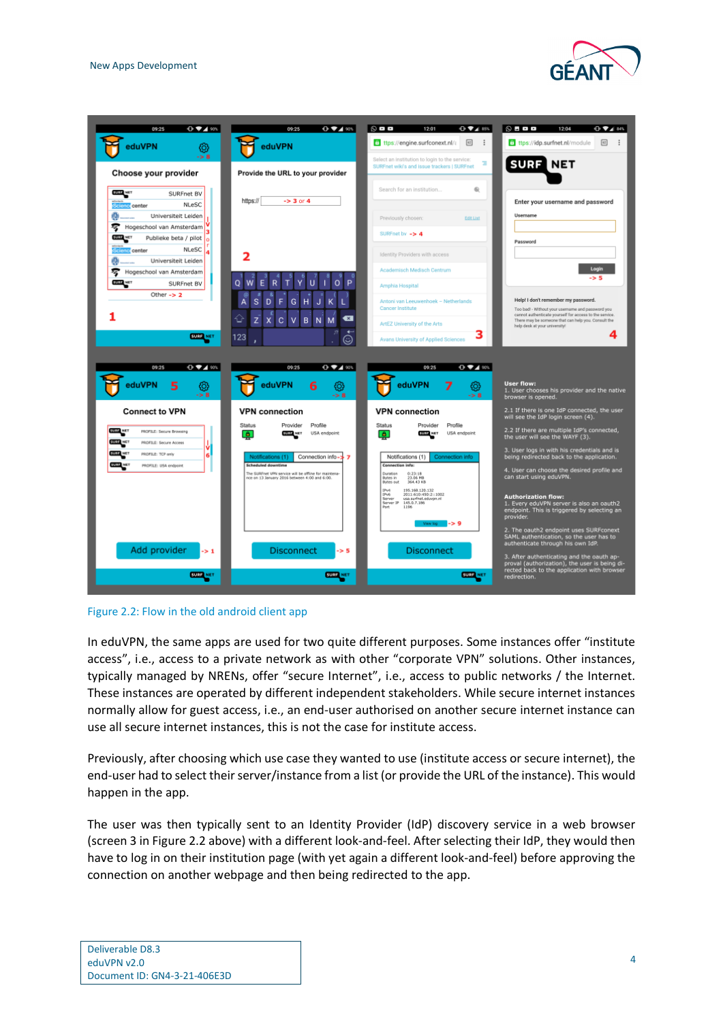



<span id="page-5-0"></span>

In eduVPN, the same apps are used for two quite different purposes. Some instances offer "institute access", i.e., access to a private network as with other "corporate VPN" solutions. Other instances, typically managed by NRENs, offer "secure Internet", i.e., access to public networks / the Internet. These instances are operated by different independent stakeholders. While secure internet instances normally allow for guest access, i.e., an end-user authorised on another secure internet instance can use all secure internet instances, this is not the case for institute access.

Previously, after choosing which use case they wanted to use (institute access or secure internet), the end-user had to select their server/instance from a list (or provide the URL of the instance). This would happen in the app.

The user was then typically sent to an Identity Provider (IdP) discovery service in a web browser (screen 3 in Figure 2.2 above) with a different look-and-feel. After selecting their IdP, they would then have to log in on their institution page (with yet again a different look-and-feel) before approving the connection on another webpage and then being redirected to the app.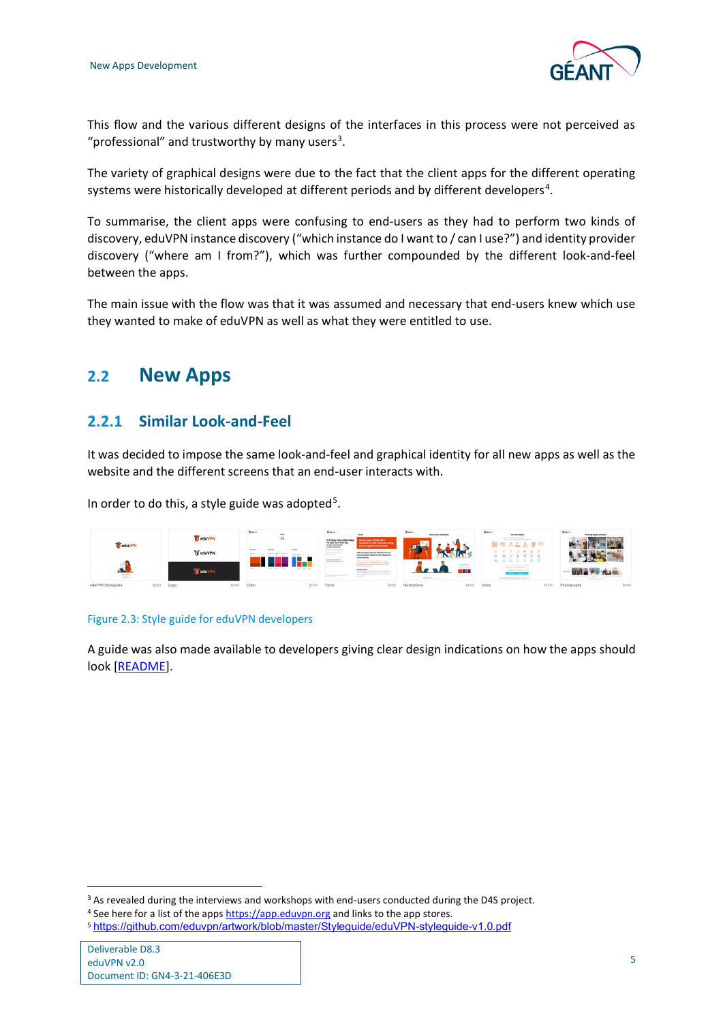

This flow and the various different designs of the interfaces in this process were not perceived as "professional" and trustworthy by many users<sup>[3](#page-6-3)</sup>.

The variety of graphical designs were due to the fact that the client apps for the different operating systems were historically developed at different periods and by different developers<sup>[4](#page-6-4)</sup>.

To summarise, the client apps were confusing to end-users as they had to perform two kinds of discovery, eduVPN instance discovery ("which instance do I want to / can I use?") and identity provider discovery ("where am I from?"), which was further compounded by the different look-and-feel between the apps.

The main issue with the flow was that it was assumed and necessary that end-users knew which use they wanted to make of eduVPN as well as what they were entitled to use.

### <span id="page-6-0"></span>**2.2 New Apps**

### <span id="page-6-1"></span>**2.2.1 Similar Look-and-Feel**

It was decided to impose the same look-and-feel and graphical identity for all new apps as well as the website and the different screens that an end-user interacts with.

In order to do this, a style guide was adopted<sup>[5](#page-6-5)</sup>.



#### <span id="page-6-2"></span>Figure 2.3: Style guide for eduVPN developers

A guide was also made available to developers giving clear design indications on how the apps should look [\[README\]](#page-11-6).

<span id="page-6-3"></span><sup>&</sup>lt;sup>3</sup> As revealed during the interviews and workshops with end-users conducted during the D4S project.

<span id="page-6-4"></span><sup>&</sup>lt;sup>4</sup> See here for a list of the apps [https://app.eduvpn.org](https://app.eduvpn.org/) and links to the app stores.

<span id="page-6-5"></span><sup>5</sup> <https://github.com/eduvpn/artwork/blob/master/Styleguide/eduVPN-styleguide-v1.0.pdf>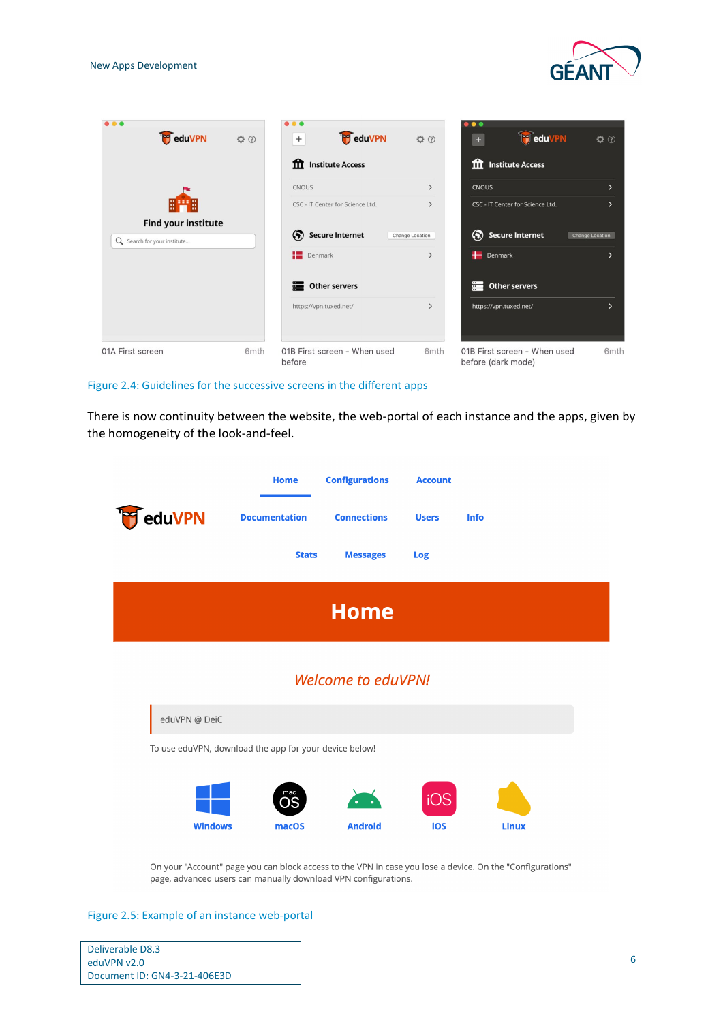

| <b>P</b> eduVPN                                           | QQ               | <b>P</b> eduVPN<br>$+$                 | QQ                           | $\bullet$<br><b>T</b> eduVPN<br>$+$                | QQ                     |
|-----------------------------------------------------------|------------------|----------------------------------------|------------------------------|----------------------------------------------------|------------------------|
|                                                           |                  | <b>11</b> Institute Access             |                              | <b>11</b> Institute Access                         |                        |
|                                                           |                  | <b>CNOUS</b>                           | $\rightarrow$                | <b>CNOUS</b>                                       | $\mathcal{P}$          |
| 開門用                                                       |                  | CSC - IT Center for Science Ltd.       | $\rightarrow$                | CSC - IT Center for Science Ltd.                   | $\mathcal{P}$          |
| <b>Find your institute</b><br>Q Search for your institute |                  | (?) Secure Internet                    | Change Location              | (?) Secure Internet                                | <b>Change Location</b> |
|                                                           |                  | Denmark                                | $\rightarrow$                | Denmark                                            | $\mathcal{P}$          |
|                                                           |                  | Other servers                          |                              | 〓<br><b>Other servers</b>                          |                        |
|                                                           |                  | https://vpn.tuxed.net/                 | $\left\langle \right\rangle$ | https://vpn.tuxed.net/                             | $\mathcal{P}$          |
| 01A First screen                                          | 6 <sub>mth</sub> | 01B First screen - When used<br>before | 6mth                         | 01B First screen - When used<br>before (dark mode) | 6 <sub>mth</sub>       |

#### <span id="page-7-0"></span>Figure 2.4: Guidelines for the successive screens in the different apps

There is now continuity between the website, the web-portal of each instance and the apps, given by the homogeneity of the look-and-feel.

|                | <b>Home</b>                                            | <b>Configurations</b>     | <b>Account</b>          |              |  |
|----------------|--------------------------------------------------------|---------------------------|-------------------------|--------------|--|
| eduVPN         | <b>Documentation</b>                                   | <b>Connections</b>        | <b>Users</b>            | <b>Info</b>  |  |
|                | <b>Stats</b>                                           | <b>Messages</b>           | <b>Log</b>              |              |  |
|                |                                                        | <b>Home</b>               |                         |              |  |
|                |                                                        | <b>Welcome to eduVPN!</b> |                         |              |  |
| eduVPN @ DeiC  |                                                        |                           |                         |              |  |
|                | To use eduVPN, download the app for your device below! |                           |                         |              |  |
| <b>Windows</b> | mac<br>ЭS<br>macOS                                     | <b>Android</b>            | iOS <sup>'</sup><br>iOS | <b>Linux</b> |  |

On your "Account" page you can block access to the VPN in case you lose a device. On the "Configurations" page, advanced users can manually download VPN configurations.

<span id="page-7-1"></span>Figure 2.5: Example of an instance web-portal

| Deliverable D8.3             |
|------------------------------|
| eduVPN v2.0                  |
| Document ID: GN4-3-21-406E3D |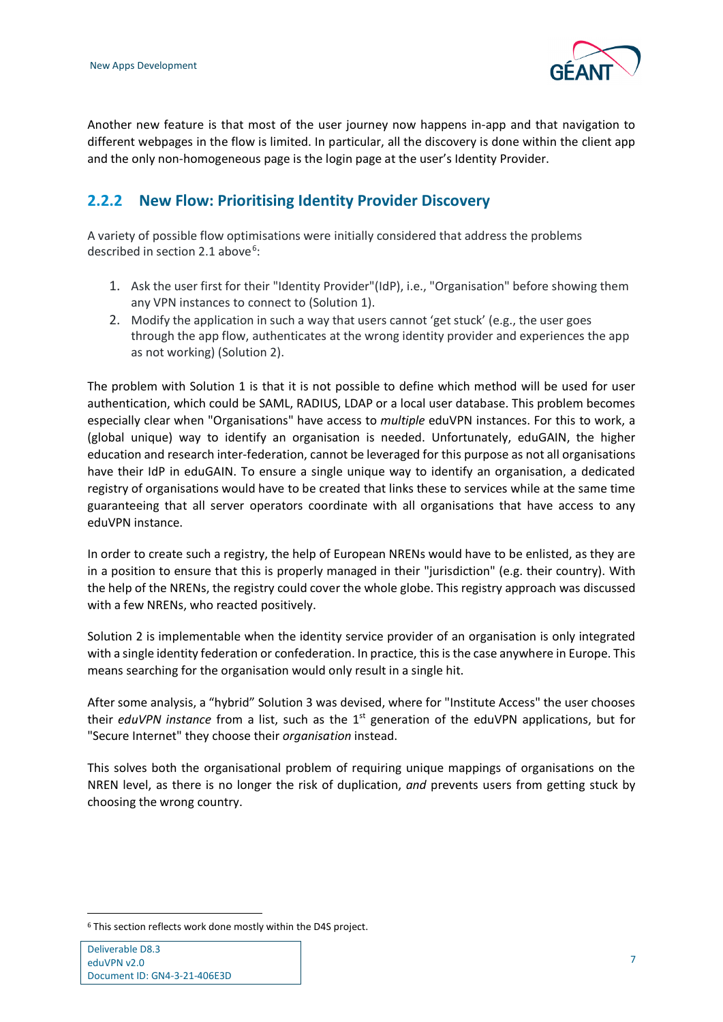

Another new feature is that most of the user journey now happens in-app and that navigation to different webpages in the flow is limited. In particular, all the discovery is done within the client app and the only non-homogeneous page is the login page at the user's Identity Provider.

### <span id="page-8-0"></span>**2.2.2 New Flow: Prioritising Identity Provider Discovery**

A variety of possible flow optimisations were initially considered that address the problems described in section 2.1 above<sup>[6](#page-8-1)</sup>:

- 1. Ask the user first for their "Identity Provider"(IdP), i.e., "Organisation" before showing them any VPN instances to connect to (Solution 1).
- 2. Modify the application in such a way that users cannot 'get stuck' (e.g., the user goes through the app flow, authenticates at the wrong identity provider and experiences the app as not working) (Solution 2).

The problem with Solution 1 is that it is not possible to define which method will be used for user authentication, which could be SAML, RADIUS, LDAP or a local user database. This problem becomes especially clear when "Organisations" have access to *multiple* eduVPN instances. For this to work, a (global unique) way to identify an organisation is needed. Unfortunately, eduGAIN, the higher education and research inter-federation, cannot be leveraged for this purpose as not all organisations have their IdP in eduGAIN. To ensure a single unique way to identify an organisation, a dedicated registry of organisations would have to be created that links these to services while at the same time guaranteeing that all server operators coordinate with all organisations that have access to any eduVPN instance.

In order to create such a registry, the help of European NRENs would have to be enlisted, as they are in a position to ensure that this is properly managed in their "jurisdiction" (e.g. their country). With the help of the NRENs, the registry could cover the whole globe. This registry approach was discussed with a few NRENs, who reacted positively.

Solution 2 is implementable when the identity service provider of an organisation is only integrated with a single identity federation or confederation. In practice, this is the case anywhere in Europe. This means searching for the organisation would only result in a single hit.

After some analysis, a "hybrid" Solution 3 was devised, where for "Institute Access" the user chooses their *eduVPN instance* from a list, such as the 1st generation of the eduVPN applications, but for "Secure Internet" they choose their *organisation* instead.

This solves both the organisational problem of requiring unique mappings of organisations on the NREN level, as there is no longer the risk of duplication, *and* prevents users from getting stuck by choosing the wrong country.

<span id="page-8-1"></span><sup>6</sup> This section reflects work done mostly within the D4S project.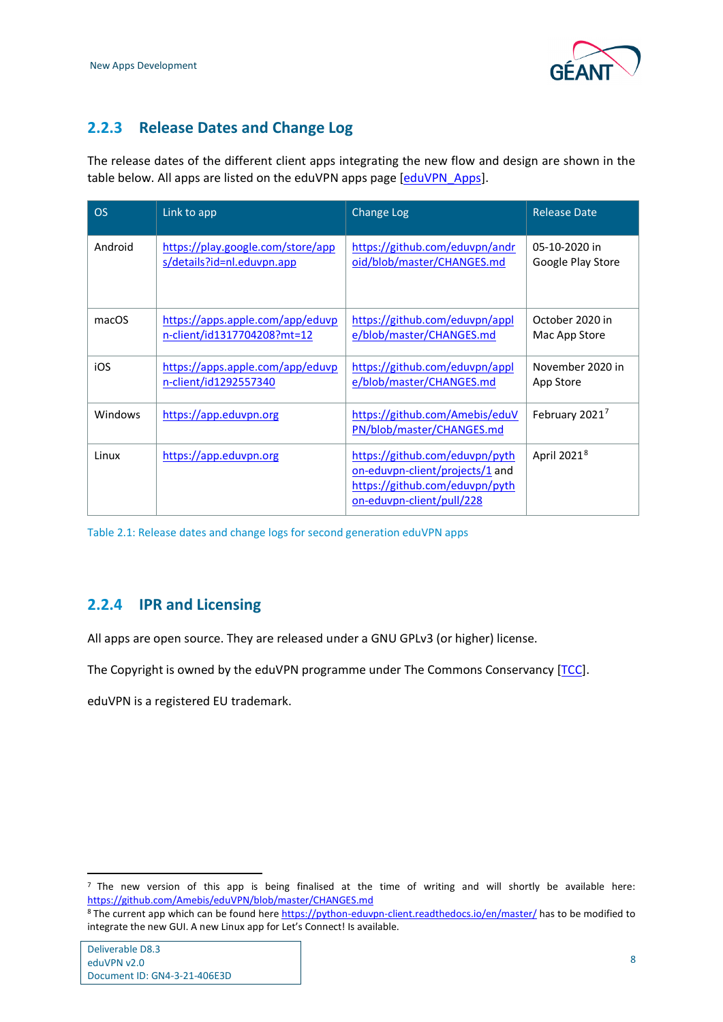

### <span id="page-9-0"></span>**2.2.3 Release Dates and Change Log**

The release dates of the different client apps integrating the new flow and design are shown in the table below. All apps are listed on the eduVPN apps page [\[eduVPN\\_Apps\]](#page-11-7).

| <b>OS</b> | Link to app                       | Change Log                                                                                                                       | <b>Release Date</b>        |
|-----------|-----------------------------------|----------------------------------------------------------------------------------------------------------------------------------|----------------------------|
| Android   | https://play.google.com/store/app | https://github.com/eduvpn/andr                                                                                                   | 05-10-2020 in              |
|           | s/details?id=nl.eduvpn.app        | oid/blob/master/CHANGES.md                                                                                                       | Google Play Store          |
| macOS     | https://apps.apple.com/app/eduvp  | https://github.com/eduvpn/appl                                                                                                   | October 2020 in            |
|           | n-client/id1317704208?mt=12       | e/blob/master/CHANGES.md                                                                                                         | Mac App Store              |
| iOS       | https://apps.apple.com/app/eduvp  | https://github.com/eduvpn/appl                                                                                                   | November 2020 in           |
|           | n-client/id1292557340             | e/blob/master/CHANGES.md                                                                                                         | App Store                  |
| Windows   | https://app.eduvpn.org            | https://github.com/Amebis/eduV<br>PN/blob/master/CHANGES.md                                                                      | February 2021 <sup>7</sup> |
| Linux     | https://app.eduvpn.org            | https://github.com/eduvpn/pyth<br>on-eduvpn-client/projects/1 and<br>https://github.com/eduvpn/pyth<br>on-eduvpn-client/pull/228 | April 2021 <sup>8</sup>    |

<span id="page-9-2"></span>Table 2.1: Release dates and change logs for second generation eduVPN apps

#### <span id="page-9-1"></span>**2.2.4 IPR and Licensing**

All apps are open source. They are released under a GNU GPLv3 (or higher) license.

The Copyright is owned by the eduVPN programme under The Commons Conservancy [\[TCC\]](#page-11-8).

eduVPN is a registered EU trademark.

<span id="page-9-3"></span> $<sup>7</sup>$  The new version of this app is being finalised at the time of writing and will shortly be available here:</sup> <https://github.com/Amebis/eduVPN/blob/master/CHANGES.md>

<span id="page-9-4"></span><sup>&</sup>lt;sup>8</sup> The current app which can be found here<https://python-eduvpn-client.readthedocs.io/en/master/> has to be modified to integrate the new GUI. A new Linux app for Let's Connect! Is available.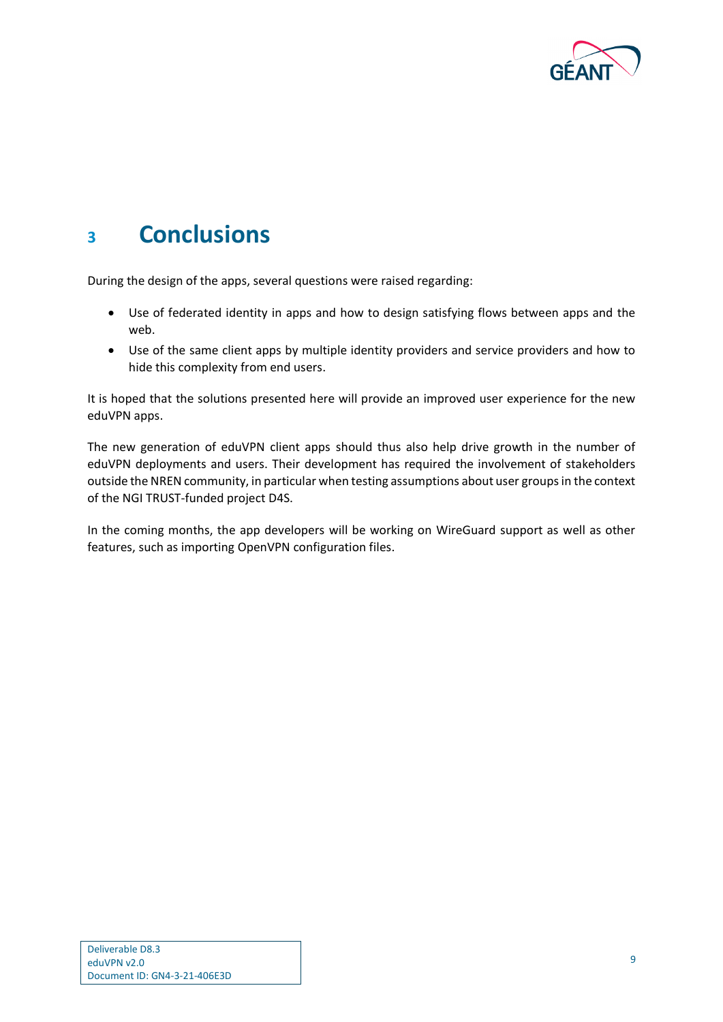

## <span id="page-10-0"></span>**<sup>3</sup> Conclusions**

During the design of the apps, several questions were raised regarding:

- Use of federated identity in apps and how to design satisfying flows between apps and the web.
- Use of the same client apps by multiple identity providers and service providers and how to hide this complexity from end users.

It is hoped that the solutions presented here will provide an improved user experience for the new eduVPN apps.

The new generation of eduVPN client apps should thus also help drive growth in the number of eduVPN deployments and users. Their development has required the involvement of stakeholders outside the NREN community, in particular when testing assumptions about user groups in the context of the NGI TRUST-funded project D4S.

In the coming months, the app developers will be working on WireGuard support as well as other features, such as importing OpenVPN configuration files.